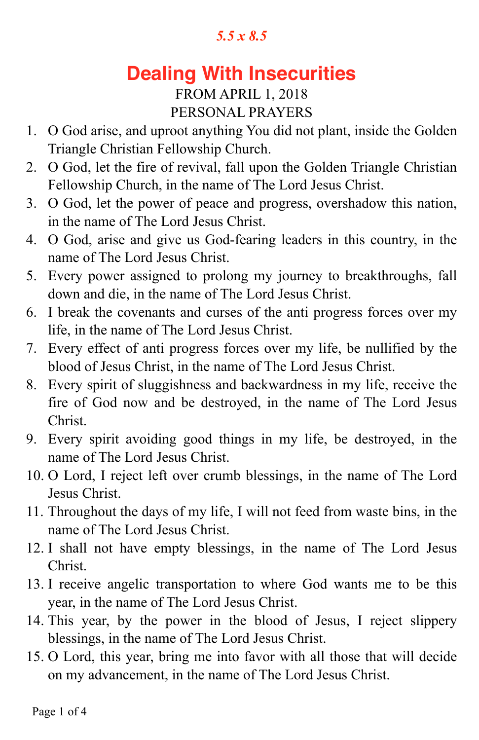# **Dealing With Insecurities**

## FROM APRIL 1, 2018 PERSONAL PRAYERS

- 1. O God arise, and uproot anything You did not plant, inside the Golden Triangle Christian Fellowship Church.
- 2. O God, let the fire of revival, fall upon the Golden Triangle Christian Fellowship Church, in the name of The Lord Jesus Christ.
- 3. O God, let the power of peace and progress, overshadow this nation, in the name of The Lord Jesus Christ.
- 4. O God, arise and give us God-fearing leaders in this country, in the name of The Lord Jesus Christ.
- 5. Every power assigned to prolong my journey to breakthroughs, fall down and die, in the name of The Lord Jesus Christ.
- 6. I break the covenants and curses of the anti progress forces over my life, in the name of The Lord Jesus Christ.
- 7. Every effect of anti progress forces over my life, be nullified by the blood of Jesus Christ, in the name of The Lord Jesus Christ.
- 8. Every spirit of sluggishness and backwardness in my life, receive the fire of God now and be destroyed, in the name of The Lord Jesus Christ.
- 9. Every spirit avoiding good things in my life, be destroyed, in the name of The Lord Jesus Christ.
- 10. O Lord, I reject left over crumb blessings, in the name of The Lord Jesus Christ.
- 11. Throughout the days of my life, I will not feed from waste bins, in the name of The Lord Jesus Christ.
- 12. I shall not have empty blessings, in the name of The Lord Jesus Christ.
- 13. I receive angelic transportation to where God wants me to be this year, in the name of The Lord Jesus Christ.
- 14. This year, by the power in the blood of Jesus, I reject slippery blessings, in the name of The Lord Jesus Christ.
- 15. O Lord, this year, bring me into favor with all those that will decide on my advancement, in the name of The Lord Jesus Christ.

Page 1 of 4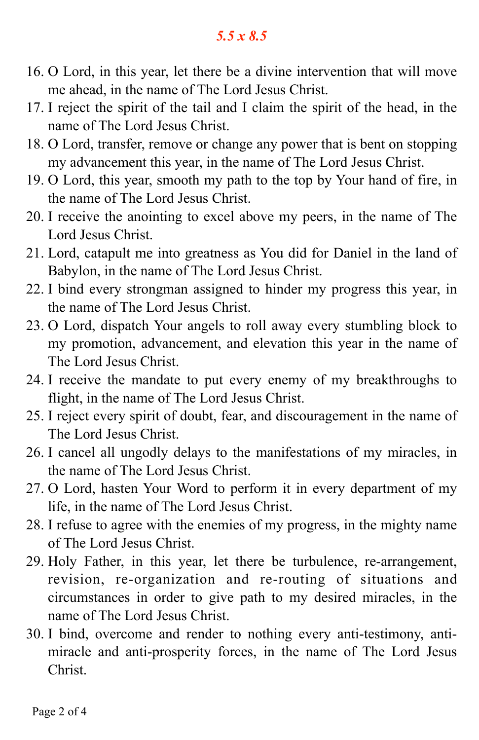- 16. O Lord, in this year, let there be a divine intervention that will move me ahead, in the name of The Lord Jesus Christ.
- 17. I reject the spirit of the tail and I claim the spirit of the head, in the name of The Lord Jesus Christ.
- 18. O Lord, transfer, remove or change any power that is bent on stopping my advancement this year, in the name of The Lord Jesus Christ.
- 19. O Lord, this year, smooth my path to the top by Your hand of fire, in the name of The Lord Jesus Christ.
- 20. I receive the anointing to excel above my peers, in the name of The Lord Jesus Christ.
- 21. Lord, catapult me into greatness as You did for Daniel in the land of Babylon, in the name of The Lord Jesus Christ.
- 22. I bind every strongman assigned to hinder my progress this year, in the name of The Lord Jesus Christ.
- 23. O Lord, dispatch Your angels to roll away every stumbling block to my promotion, advancement, and elevation this year in the name of The Lord Jesus Christ.
- 24. I receive the mandate to put every enemy of my breakthroughs to flight, in the name of The Lord Jesus Christ.
- 25. I reject every spirit of doubt, fear, and discouragement in the name of The Lord Jesus Christ.
- 26. I cancel all ungodly delays to the manifestations of my miracles, in the name of The Lord Jesus Christ.
- 27. O Lord, hasten Your Word to perform it in every department of my life, in the name of The Lord Jesus Christ.
- 28. I refuse to agree with the enemies of my progress, in the mighty name of The Lord Jesus Christ.
- 29. Holy Father, in this year, let there be turbulence, re-arrangement, revision, re-organization and re-routing of situations and circumstances in order to give path to my desired miracles, in the name of The Lord Jesus Christ.
- 30. I bind, overcome and render to nothing every anti-testimony, antimiracle and anti-prosperity forces, in the name of The Lord Jesus Christ.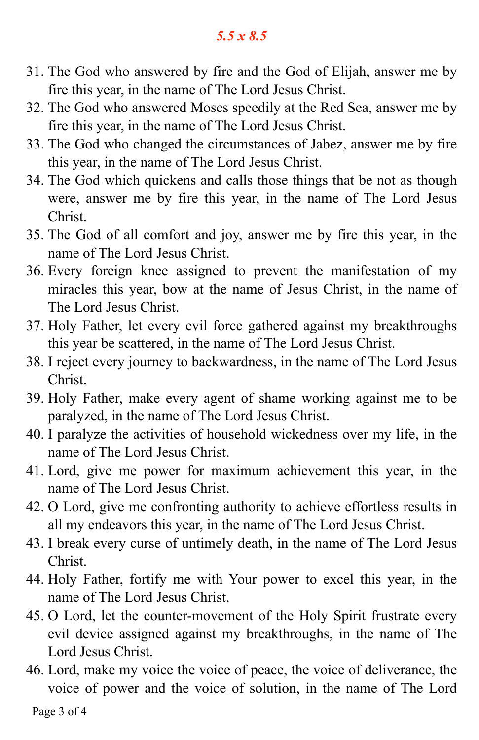- 31. The God who answered by fire and the God of Elijah, answer me by fire this year, in the name of The Lord Jesus Christ.
- 32. The God who answered Moses speedily at the Red Sea, answer me by fire this year, in the name of The Lord Jesus Christ.
- 33. The God who changed the circumstances of Jabez, answer me by fire this year, in the name of The Lord Jesus Christ.
- 34. The God which quickens and calls those things that be not as though were, answer me by fire this year, in the name of The Lord Jesus Christ.
- 35. The God of all comfort and joy, answer me by fire this year, in the name of The Lord Jesus Christ.
- 36. Every foreign knee assigned to prevent the manifestation of my miracles this year, bow at the name of Jesus Christ, in the name of The Lord Jesus Christ.
- 37. Holy Father, let every evil force gathered against my breakthroughs this year be scattered, in the name of The Lord Jesus Christ.
- 38. I reject every journey to backwardness, in the name of The Lord Jesus Christ.
- 39. Holy Father, make every agent of shame working against me to be paralyzed, in the name of The Lord Jesus Christ.
- 40. I paralyze the activities of household wickedness over my life, in the name of The Lord Jesus Christ.
- 41. Lord, give me power for maximum achievement this year, in the name of The Lord Jesus Christ.
- 42. O Lord, give me confronting authority to achieve effortless results in all my endeavors this year, in the name of The Lord Jesus Christ.
- 43. I break every curse of untimely death, in the name of The Lord Jesus Christ.
- 44. Holy Father, fortify me with Your power to excel this year, in the name of The Lord Jesus Christ.
- 45. O Lord, let the counter-movement of the Holy Spirit frustrate every evil device assigned against my breakthroughs, in the name of The Lord Jesus Christ.
- 46. Lord, make my voice the voice of peace, the voice of deliverance, the voice of power and the voice of solution, in the name of The Lord

Page 3 of 4